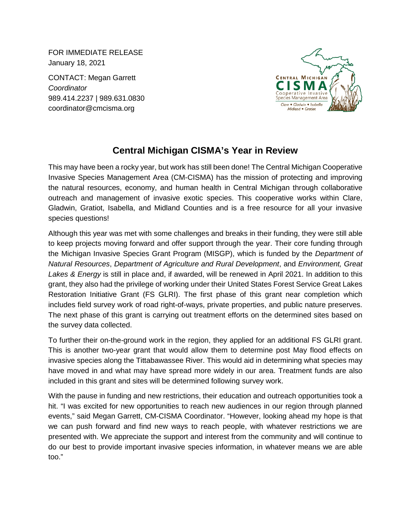FOR IMMEDIATE RELEASE January 18, 2021

CONTACT: Megan Garrett *Coordinator* 989.414.2237 | 989.631.0830 coordinator@cmcisma.org



## **Central Michigan CISMA's Year in Review**

This may have been a rocky year, but work has still been done! The Central Michigan Cooperative Invasive Species Management Area (CM-CISMA) has the mission of protecting and improving the natural resources, economy, and human health in Central Michigan through collaborative outreach and management of invasive exotic species. This cooperative works within Clare, Gladwin, Gratiot, Isabella, and Midland Counties and is a free resource for all your invasive species questions!

Although this year was met with some challenges and breaks in their funding, they were still able to keep projects moving forward and offer support through the year. Their core funding through the Michigan Invasive Species Grant Program (MISGP), which is funded by the *Department of Natural Resources*, *Department of Agriculture and Rural Development*, and *Environment, Great Lakes & Energy* is still in place and, if awarded, will be renewed in April 2021. In addition to this grant, they also had the privilege of working under their United States Forest Service Great Lakes Restoration Initiative Grant (FS GLRI). The first phase of this grant near completion which includes field survey work of road right-of-ways, private properties, and public nature preserves. The next phase of this grant is carrying out treatment efforts on the determined sites based on the survey data collected.

To further their on-the-ground work in the region, they applied for an additional FS GLRI grant. This is another two-year grant that would allow them to determine post May flood effects on invasive species along the Tittabawassee River. This would aid in determining what species may have moved in and what may have spread more widely in our area. Treatment funds are also included in this grant and sites will be determined following survey work.

With the pause in funding and new restrictions, their education and outreach opportunities took a hit. "I was excited for new opportunities to reach new audiences in our region through planned events," said Megan Garrett, CM-CISMA Coordinator. "However, looking ahead my hope is that we can push forward and find new ways to reach people, with whatever restrictions we are presented with. We appreciate the support and interest from the community and will continue to do our best to provide important invasive species information, in whatever means we are able too."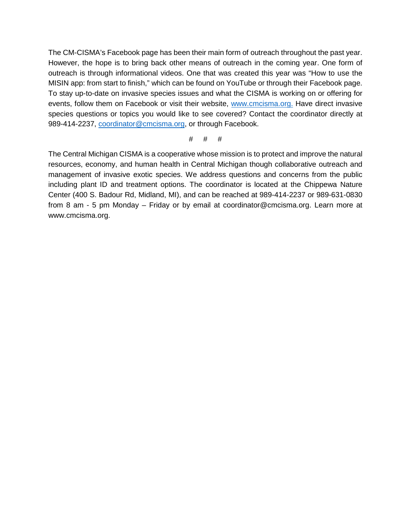The CM-CISMA's Facebook page has been their main form of outreach throughout the past year. However, the hope is to bring back other means of outreach in the coming year. One form of outreach is through informational videos. One that was created this year was "How to use the MISIN app: from start to finish," which can be found on YouTube or through their Facebook page. To stay up-to-date on invasive species issues and what the CISMA is working on or offering for events, follow them on Facebook or visit their website, [www.cmcisma.org.](http://www.cmcisma.org/) Have direct invasive species questions or topics you would like to see covered? Contact the coordinator directly at 989-414-2237, [coordinator@cmcisma.org,](mailto:coordinator@cmcisma.org) or through Facebook.

## # # #

The Central Michigan CISMA is a cooperative whose mission is to protect and improve the natural resources, economy, and human health in Central Michigan though collaborative outreach and management of invasive exotic species. We address questions and concerns from the public including plant ID and treatment options. The coordinator is located at the Chippewa Nature Center (400 S. Badour Rd, Midland, MI), and can be reached at 989-414-2237 or 989-631-0830 from 8 am - 5 pm Monday – Friday or by email at coordinator@cmcisma.org. Learn more at www.cmcisma.org.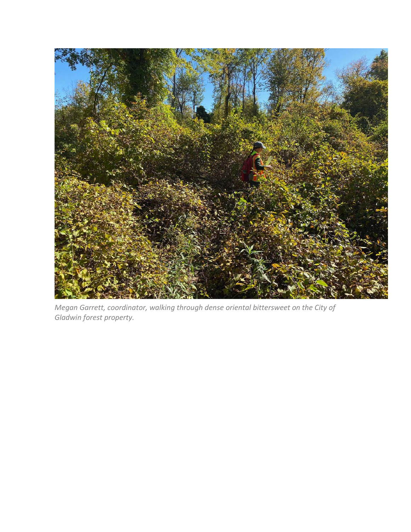

*Megan Garrett, coordinator, walking through dense oriental bittersweet on the City of Gladwin forest property.*